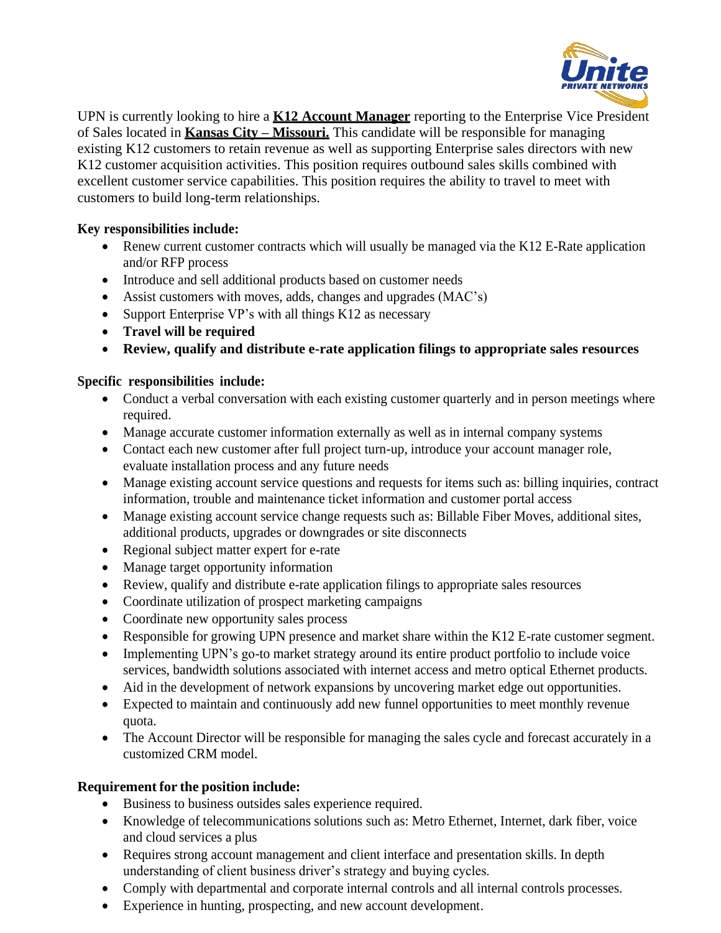

UPN is currently looking to hire a **K12 Account Manager** reporting to the Enterprise Vice President of Sales located in **Kansas City – Missouri.** This candidate will be responsible for managing existing K12 customers to retain revenue as well as supporting Enterprise sales directors with new K12 customer acquisition activities. This position requires outbound sales skills combined with excellent customer service capabilities. This position requires the ability to travel to meet with customers to build long-term relationships.

## **Key responsibilities include:**

- Renew current customer contracts which will usually be managed via the K12 E-Rate application and/or RFP process
- Introduce and sell additional products based on customer needs
- Assist customers with moves, adds, changes and upgrades (MAC's)
- Support Enterprise VP's with all things K12 as necessary
- **Travel will be required**
- **Review, qualify and distribute e-rate application filings to appropriate sales resources**

## **Specific responsibilities include:**

- Conduct a verbal conversation with each existing customer quarterly and in person meetings where required.
- Manage accurate customer information externally as well as in internal company systems
- Contact each new customer after full project turn-up, introduce your account manager role, evaluate installation process and any future needs
- Manage existing account service questions and requests for items such as: billing inquiries, contract information, trouble and maintenance ticket information and customer portal access
- Manage existing account service change requests such as: Billable Fiber Moves, additional sites, additional products, upgrades or downgrades or site disconnects
- Regional subject matter expert for e-rate
- Manage target opportunity information
- Review, qualify and distribute e-rate application filings to appropriate sales resources
- Coordinate utilization of prospect marketing campaigns
- Coordinate new opportunity sales process
- Responsible for growing UPN presence and market share within the K12 E-rate customer segment.
- Implementing UPN's go-to market strategy around its entire product portfolio to include voice services, bandwidth solutions associated with internet access and metro optical Ethernet products.
- Aid in the development of network expansions by uncovering market edge out opportunities.
- Expected to maintain and continuously add new funnel opportunities to meet monthly revenue quota.
- The Account Director will be responsible for managing the sales cycle and forecast accurately in a customized CRM model.

## **Requirement for the position include:**

- Business to business outsides sales experience required.
- Knowledge of telecommunications solutions such as: Metro Ethernet, Internet, dark fiber, voice and cloud services a plus
- Requires strong account management and client interface and presentation skills. In depth understanding of client business driver's strategy and buying cycles.
- Comply with departmental and corporate internal controls and all internal controls processes.
- Experience in hunting, prospecting, and new account development.